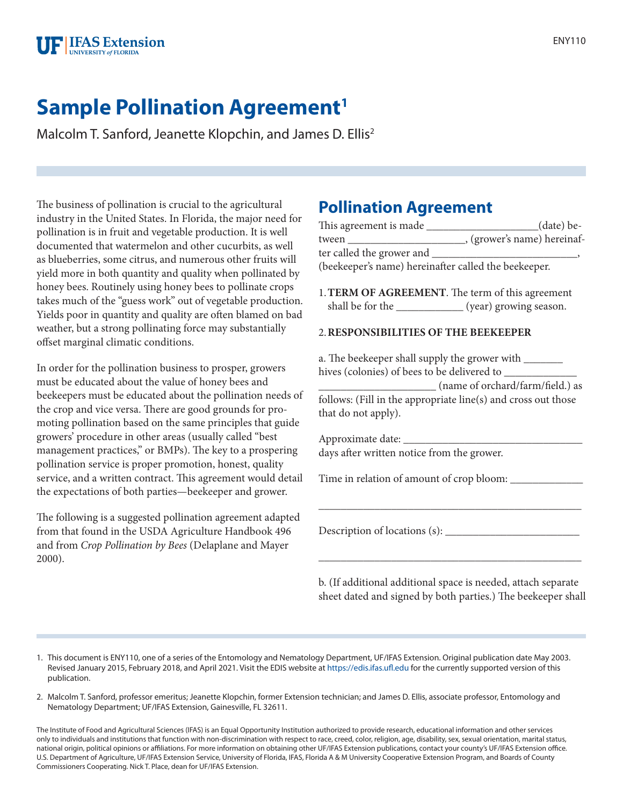

## **Sample Pollination Agreement<sup>1</sup>**

Malcolm T. Sanford, Jeanette Klopchin, and James D. Ellis<sup>2</sup>

The business of pollination is crucial to the agricultural industry in the United States. In Florida, the major need for pollination is in fruit and vegetable production. It is well documented that watermelon and other cucurbits, as well as blueberries, some citrus, and numerous other fruits will yield more in both quantity and quality when pollinated by honey bees. Routinely using honey bees to pollinate crops takes much of the "guess work" out of vegetable production. Yields poor in quantity and quality are often blamed on bad weather, but a strong pollinating force may substantially offset marginal climatic conditions.

In order for the pollination business to prosper, growers must be educated about the value of honey bees and beekeepers must be educated about the pollination needs of the crop and vice versa. There are good grounds for promoting pollination based on the same principles that guide growers' procedure in other areas (usually called "best management practices," or BMPs). The key to a prospering pollination service is proper promotion, honest, quality service, and a written contract. This agreement would detail the expectations of both parties—beekeeper and grower.

The following is a suggested pollination agreement adapted from that found in the USDA Agriculture Handbook 496 and from *Crop Pollination by Bees* (Delaplane and Mayer 2000).

## **Pollination Agreement**

|                                                        | (date) be-                    |
|--------------------------------------------------------|-------------------------------|
|                                                        | __, (grower's name) hereinaf- |
| ter called the grower and _____                        |                               |
| (beekeeper's name) hereinafter called the beekeeper.   |                               |
| 1. TERM OF AGREEMENT. The term of this agreement       |                               |
| shall be for the ______________ (year) growing season. |                               |
|                                                        |                               |

## 2.**RESPONSIBILITIES OF THE BEEKEEPER**

a. The beekeeper shall supply the grower with \_\_\_\_\_\_\_\_ hives (colonies) of bees to be delivered to \_

\_\_\_\_\_\_\_\_\_\_\_\_\_\_\_\_\_\_\_\_\_ (name of orchard/farm/field.) as follows: (Fill in the appropriate line(s) and cross out those that do not apply).

Approximate date: days after written notice from the grower.

Time in relation of amount of crop bloom: \_\_\_\_\_\_\_\_\_\_\_\_\_

Description of locations (s): \_\_\_\_\_\_\_\_\_\_\_\_\_\_\_\_\_\_\_\_\_\_\_\_

b. (If additional additional space is needed, attach separate sheet dated and signed by both parties.) The beekeeper shall

\_\_\_\_\_\_\_\_\_\_\_\_\_\_\_\_\_\_\_\_\_\_\_\_\_\_\_\_\_\_\_\_\_\_\_\_\_\_\_\_\_\_\_\_\_\_\_

\_\_\_\_\_\_\_\_\_\_\_\_\_\_\_\_\_\_\_\_\_\_\_\_\_\_\_\_\_\_\_\_\_\_\_\_\_\_\_\_\_\_\_\_\_\_\_

1. This document is ENY110, one of a series of the Entomology and Nematology Department, UF/IFAS Extension. Original publication date May 2003. Revised January 2015, February 2018, and April 2021. Visit the EDIS website at <https://edis.ifas.ufl.edu> for the currently supported version of this publication.

2. Malcolm T. Sanford, professor emeritus; Jeanette Klopchin, former Extension technician; and James D. Ellis, associate professor, Entomology and Nematology Department; UF/IFAS Extension, Gainesville, FL 32611.

The Institute of Food and Agricultural Sciences (IFAS) is an Equal Opportunity Institution authorized to provide research, educational information and other services only to individuals and institutions that function with non-discrimination with respect to race, creed, color, religion, age, disability, sex, sexual orientation, marital status, national origin, political opinions or affiliations. For more information on obtaining other UF/IFAS Extension publications, contact your county's UF/IFAS Extension office. U.S. Department of Agriculture, UF/IFAS Extension Service, University of Florida, IFAS, Florida A & M University Cooperative Extension Program, and Boards of County Commissioners Cooperating. Nick T. Place, dean for UF/IFAS Extension.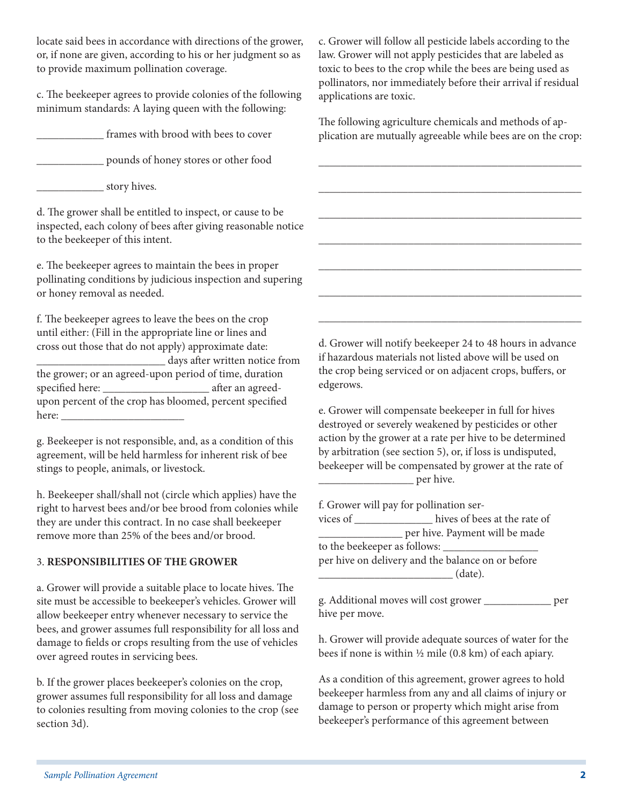locate said bees in accordance with directions of the grower, or, if none are given, according to his or her judgment so as to provide maximum pollination coverage.

c. The beekeeper agrees to provide colonies of the following minimum standards: A laying queen with the following:

frames with brood with bees to cover

\_\_\_\_\_\_\_\_\_\_\_\_ pounds of honey stores or other food

\_\_\_\_\_\_\_\_\_\_\_\_ story hives.

d. The grower shall be entitled to inspect, or cause to be inspected, each colony of bees after giving reasonable notice to the beekeeper of this intent.

e. The beekeeper agrees to maintain the bees in proper pollinating conditions by judicious inspection and supering or honey removal as needed.

f. The beekeeper agrees to leave the bees on the crop until either: (Fill in the appropriate line or lines and cross out those that do not apply) approximate date: \_\_\_\_\_\_\_\_\_\_\_\_\_\_\_\_\_\_\_\_\_\_\_ days after written notice from the grower; or an agreed-upon period of time, duration specified here: \_\_\_\_\_\_\_\_\_\_\_\_\_\_\_\_\_\_\_ after an agreedupon percent of the crop has bloomed, percent specified here:  $\_\_$ 

g. Beekeeper is not responsible, and, as a condition of this agreement, will be held harmless for inherent risk of bee stings to people, animals, or livestock.

h. Beekeeper shall/shall not (circle which applies) have the right to harvest bees and/or bee brood from colonies while they are under this contract. In no case shall beekeeper remove more than 25% of the bees and/or brood.

## 3. **RESPONSIBILITIES OF THE GROWER**

a. Grower will provide a suitable place to locate hives. The site must be accessible to beekeeper's vehicles. Grower will allow beekeeper entry whenever necessary to service the bees, and grower assumes full responsibility for all loss and damage to fields or crops resulting from the use of vehicles over agreed routes in servicing bees.

b. If the grower places beekeeper's colonies on the crop, grower assumes full responsibility for all loss and damage to colonies resulting from moving colonies to the crop (see section 3d).

c. Grower will follow all pesticide labels according to the law. Grower will not apply pesticides that are labeled as toxic to bees to the crop while the bees are being used as pollinators, nor immediately before their arrival if residual applications are toxic.

The following agriculture chemicals and methods of application are mutually agreeable while bees are on the crop:

\_\_\_\_\_\_\_\_\_\_\_\_\_\_\_\_\_\_\_\_\_\_\_\_\_\_\_\_\_\_\_\_\_\_\_\_\_\_\_\_\_\_\_\_\_\_\_

\_\_\_\_\_\_\_\_\_\_\_\_\_\_\_\_\_\_\_\_\_\_\_\_\_\_\_\_\_\_\_\_\_\_\_\_\_\_\_\_\_\_\_\_\_\_\_

\_\_\_\_\_\_\_\_\_\_\_\_\_\_\_\_\_\_\_\_\_\_\_\_\_\_\_\_\_\_\_\_\_\_\_\_\_\_\_\_\_\_\_\_\_\_\_

\_\_\_\_\_\_\_\_\_\_\_\_\_\_\_\_\_\_\_\_\_\_\_\_\_\_\_\_\_\_\_\_\_\_\_\_\_\_\_\_\_\_\_\_\_\_\_

\_\_\_\_\_\_\_\_\_\_\_\_\_\_\_\_\_\_\_\_\_\_\_\_\_\_\_\_\_\_\_\_\_\_\_\_\_\_\_\_\_\_\_\_\_\_\_

\_\_\_\_\_\_\_\_\_\_\_\_\_\_\_\_\_\_\_\_\_\_\_\_\_\_\_\_\_\_\_\_\_\_\_\_\_\_\_\_\_\_\_\_\_\_\_

\_\_\_\_\_\_\_\_\_\_\_\_\_\_\_\_\_\_\_\_\_\_\_\_\_\_\_\_\_\_\_\_\_\_\_\_\_\_\_\_\_\_\_\_\_\_\_

d. Grower will notify beekeeper 24 to 48 hours in advance if hazardous materials not listed above will be used on the crop being serviced or on adjacent crops, buffers, or edgerows.

e. Grower will compensate beekeeper in full for hives destroyed or severely weakened by pesticides or other action by the grower at a rate per hive to be determined by arbitration (see section 5), or, if loss is undisputed, beekeeper will be compensated by grower at the rate of \_\_\_\_\_\_\_\_\_\_\_\_\_\_\_\_\_ per hive.

f. Grower will pay for pollination ser-

vices of \_\_\_\_\_\_\_\_\_\_\_\_\_\_ hives of bees at the rate of **Example 1** per hive. Payment will be made to the beekeeper as follows: \_\_\_\_\_\_\_\_\_\_\_\_\_\_\_\_\_ per hive on delivery and the balance on or before \_\_\_\_\_\_\_\_\_\_\_\_\_\_\_\_\_\_\_\_\_\_\_\_ (date).

g. Additional moves will cost grower \_\_\_\_\_\_\_\_\_\_\_\_ per hive per move.

h. Grower will provide adequate sources of water for the bees if none is within ½ mile (0.8 km) of each apiary.

As a condition of this agreement, grower agrees to hold beekeeper harmless from any and all claims of injury or damage to person or property which might arise from beekeeper's performance of this agreement between